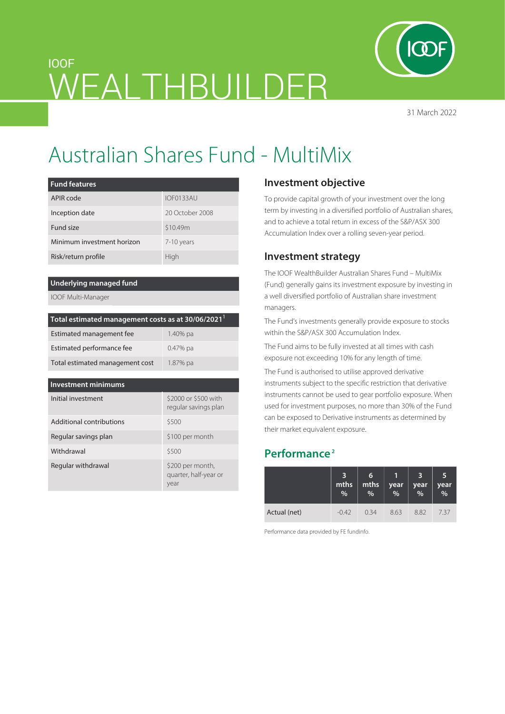

31 March 2022

# IOOF WEALTHBUILDER

# Australian Shares Fund - MultiMix

| <b>Fund features</b>       |                 |  |  |
|----------------------------|-----------------|--|--|
| APIR code                  | IOF0133AU       |  |  |
| Inception date             | 20 October 2008 |  |  |
| Fund size                  | \$10.49m        |  |  |
| Minimum investment horizon | 7-10 years      |  |  |
| Risk/return profile        | High            |  |  |

#### **Underlying managed fund**

IOOF Multi-Manager

| Total estimated management costs as at 30/06/2021 <sup>1</sup> |            |  |  |  |
|----------------------------------------------------------------|------------|--|--|--|
| Estimated management fee                                       | 1.40% pa   |  |  |  |
| Estimated performance fee                                      | $0.47%$ pa |  |  |  |
| Total estimated management cost                                | 1.87% pa   |  |  |  |

| Investment minimums      |                                                   |  |  |  |  |
|--------------------------|---------------------------------------------------|--|--|--|--|
| Initial investment       | \$2000 or \$500 with<br>regular savings plan      |  |  |  |  |
| Additional contributions | \$500                                             |  |  |  |  |
| Regular savings plan     | \$100 per month                                   |  |  |  |  |
| Withdrawal               | \$500                                             |  |  |  |  |
| Regular withdrawal       | \$200 per month,<br>quarter, half-year or<br>year |  |  |  |  |

# **Investment objective**

To provide capital growth of your investment over the long term by investing in a diversified portfolio of Australian shares, and to achieve a total return in excess of the S&P/ASX 300 Accumulation Index over a rolling seven-year period.

## **Investment strategy**

The IOOF WealthBuilder Australian Shares Fund – MultiMix (Fund) generally gains its investment exposure by investing in a well diversified portfolio of Australian share investment managers.

The Fund's investments generally provide exposure to stocks within the S&P/ASX 300 Accumulation Index.

The Fund aims to be fully invested at all times with cash exposure not exceeding 10% for any length of time.

The Fund is authorised to utilise approved derivative instruments subject to the specific restriction that derivative instruments cannot be used to gear portfolio exposure. When used for investment purposes, no more than 30% of the Fund can be exposed to Derivative instruments as determined by their market equivalent exposure.

# **Performance 2**

|              | 3<br>mths<br>% | 6<br>mths<br>% | year<br>% | 3<br>year<br>% | 5<br>year<br>% |
|--------------|----------------|----------------|-----------|----------------|----------------|
| Actual (net) | $-0.42$        | 0.34           | 8.63      | 8.82           | 7.37           |

Performance data provided by FE fundinfo.